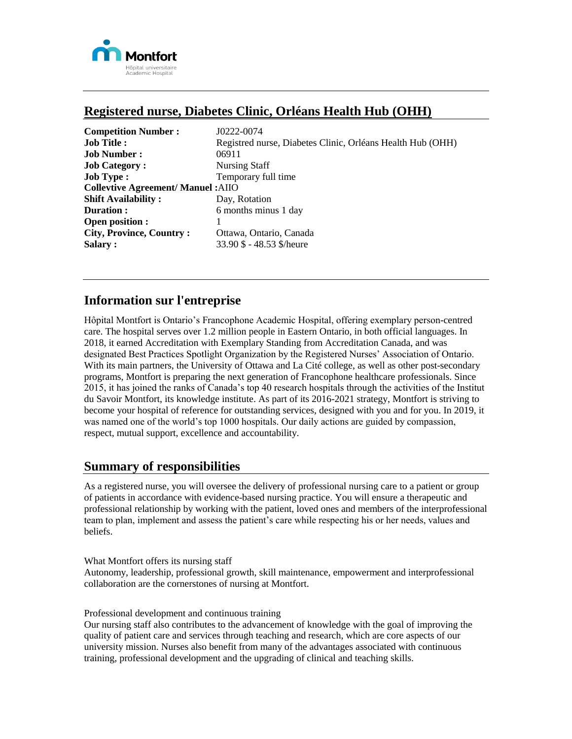

# **Registered nurse, Diabetes Clinic, Orléans Health Hub (OHH)**

| <b>Competition Number:</b>                | J0222-0074                                                 |
|-------------------------------------------|------------------------------------------------------------|
| <b>Job Title:</b>                         | Registred nurse, Diabetes Clinic, Orléans Health Hub (OHH) |
| <b>Job Number:</b>                        | 06911                                                      |
| <b>Job Category:</b>                      | Nursing Staff                                              |
| <b>Job Type:</b>                          | Temporary full time                                        |
| <b>Collevtive Agreement/ Manuel: AIIO</b> |                                                            |
| <b>Shift Availability:</b>                | Day, Rotation                                              |
| Duration:                                 | 6 months minus 1 day                                       |
| <b>Open position :</b>                    |                                                            |
| <b>City, Province, Country:</b>           | Ottawa, Ontario, Canada                                    |
| Salary:                                   | 33.90 \$ - 48.53 \$/heure                                  |

# **Information sur l'entreprise**

Hôpital Montfort is Ontario's Francophone Academic Hospital, offering exemplary person-centred care. The hospital serves over 1.2 million people in Eastern Ontario, in both official languages. In 2018, it earned Accreditation with Exemplary Standing from Accreditation Canada, and was designated Best Practices Spotlight Organization by the Registered Nurses' Association of Ontario. With its main partners, the University of Ottawa and La Cité college, as well as other post-secondary programs, Montfort is preparing the next generation of Francophone healthcare professionals. Since 2015, it has joined the ranks of Canada's top 40 research hospitals through the activities of the Institut du Savoir Montfort, its knowledge institute. As part of its 2016-2021 strategy, Montfort is striving to become your hospital of reference for outstanding services, designed with you and for you. In 2019, it was named one of the world's top 1000 hospitals. Our daily actions are guided by compassion, respect, mutual support, excellence and accountability.

### **Summary of responsibilities**

As a registered nurse, you will oversee the delivery of professional nursing care to a patient or group of patients in accordance with evidence-based nursing practice. You will ensure a therapeutic and professional relationship by working with the patient, loved ones and members of the interprofessional team to plan, implement and assess the patient's care while respecting his or her needs, values and beliefs.

What Montfort offers its nursing staff

Autonomy, leadership, professional growth, skill maintenance, empowerment and interprofessional collaboration are the cornerstones of nursing at Montfort.

Professional development and continuous training

Our nursing staff also contributes to the advancement of knowledge with the goal of improving the quality of patient care and services through teaching and research, which are core aspects of our university mission. Nurses also benefit from many of the advantages associated with continuous training, professional development and the upgrading of clinical and teaching skills.